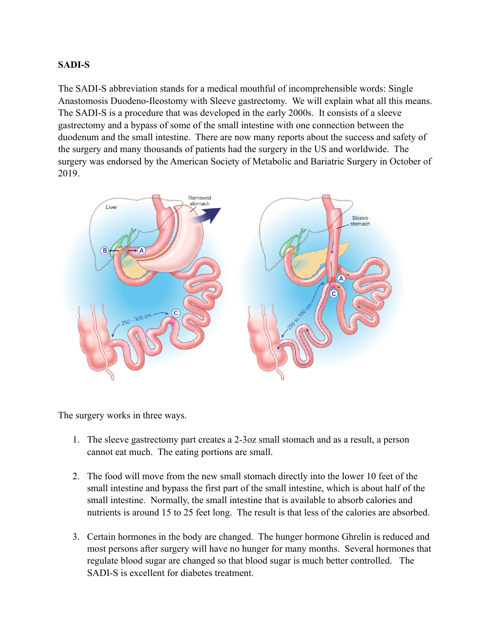## **SADI-S**

The SADI-S abbreviation stands for a medical mouthful of incomprehensible words: Single Anastomosis Duodeno-Ileostomy with Sleeve gastrectomy. We will explain what all this means. The SADI-S is a procedure that was developed in the early 2000s. It consists of a sleeve gastrectomy and a bypass of some of the small intestine with one connection between the duodenum and the small intestine. There are now many reports about the success and safety of the surgery and many thousands of patients had the surgery in the US and worldwide. The surgery was endorsed by the American Society of Metabolic and Bariatric Surgery in October of 2019.



The surgery works in three ways.

- 1. The sleeve gastrectomy part creates a 2-3oz small stomach and as a result, a person cannot eat much. The eating portions are small.
- 2. The food will move from the new small stomach directly into the lower 10 feet of the small intestine and bypass the first part of the small intestine, which is about half of the small intestine. Normally, the small intestine that is available to absorb calories and nutrients is around 15 to 25 feet long. The result is that less of the calories are absorbed.
- 3. Certain hormones in the body are changed. The hunger hormone Ghrelin is reduced and most persons after surgery will have no hunger for many months. Several hormones that regulate blood sugar are changed so that blood sugar is much better controlled. The SADI-S is excellent for diabetes treatment.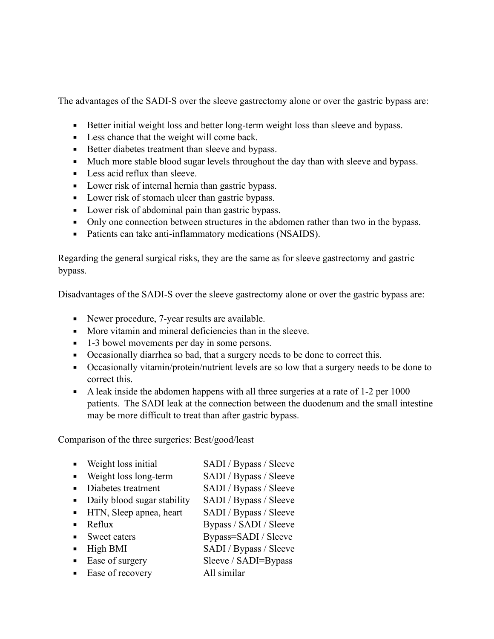The advantages of the SADI-S over the sleeve gastrectomy alone or over the gastric bypass are:

- **EXECUTE:** Better initial weight loss and better long-term weight loss than sleeve and bypass.
- Less chance that the weight will come back.
- Better diabetes treatment than sleeve and bypass.
- Much more stable blood sugar levels throughout the day than with sleeve and bypass.
- Less acid reflux than sleeve.
- Lower risk of internal hernia than gastric bypass.
- Lower risk of stomach ulcer than gastric bypass.
- Lower risk of abdominal pain than gastric bypass.
- Only one connection between structures in the abdomen rather than two in the bypass.
- Patients can take anti-inflammatory medications (NSAIDS).

Regarding the general surgical risks, they are the same as for sleeve gastrectomy and gastric bypass.

Disadvantages of the SADI-S over the sleeve gastrectomy alone or over the gastric bypass are:

- Newer procedure, 7-year results are available.
- More vitamin and mineral deficiencies than in the sleeve.
- 1-3 bowel movements per day in some persons.
- Occasionally diarrhea so bad, that a surgery needs to be done to correct this.
- Occasionally vitamin/protein/nutrient levels are so low that a surgery needs to be done to correct this.
- $\blacksquare$  A leak inside the abdomen happens with all three surgeries at a rate of 1-2 per 1000 patients. The SADI leak at the connection between the duodenum and the small intestine may be more difficult to treat than after gastric bypass.

Comparison of the three surgeries: Best/good/least

|                             | • Weight loss initial         | SADI / Bypass / Sleeve |
|-----------------------------|-------------------------------|------------------------|
|                             | • Weight loss long-term       | SADI / Bypass / Sleeve |
| $\mathbf{m}$ , $\mathbf{m}$ | Diabetes treatment            | SADI / Bypass / Sleeve |
|                             | • Daily blood sugar stability | SADI / Bypass / Sleeve |
|                             | • HTN, Sleep apnea, heart     | SADI / Bypass / Sleeve |
|                             | Reflux                        | Bypass / SADI / Sleeve |
|                             | • Sweet eaters                | Bypass=SADI / Sleeve   |
| $\blacksquare$              | High BMI                      | SADI / Bypass / Sleeve |
|                             | Ease of surgery               | Sleeve / SADI=Bypass   |

■ Ease of recovery All similar